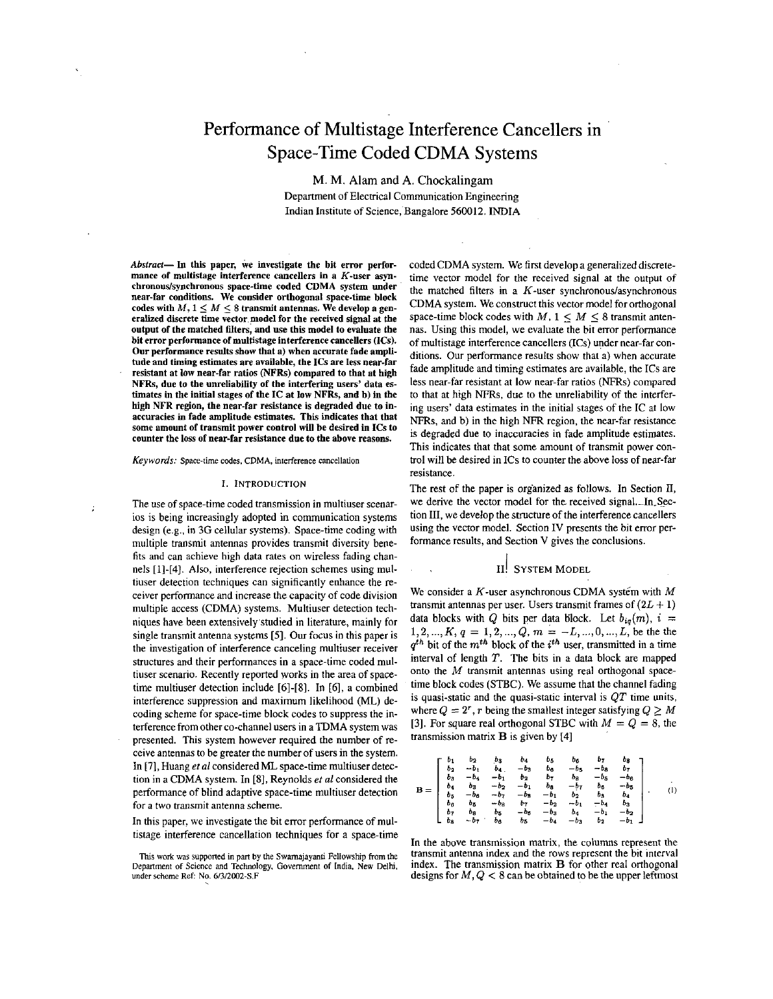# Performance of Multistage Interference Cancellers in Space-Time Coded CDMA Systems

M. M. Alam and A. Chockalingam Department of Electrical Communication Engineering Indian Institute of Science, Bangalore 560012. INDIA

 $Abstract-$  In this paper, we investigate the bit error performance of multistage interference cancellers in a K-user asynchronous/synchronous space-time coded CDMA system under near-far conditions. We consider orthogonal space-time block codes with  $M, 1 \leq M \leq 8$  transmit antennas. We develop a generalized discrete time vector model for the received signal at the output of the matched filters, and use this model to evaluate the bit error performance of multistage interference cancellers (ICs). Our performance results show that a) when accurate fade amplitude and timing estimates are available, the ICs are **less** near-far resistant at low near-far ratios (NFRs) compared to that at high NFRs, due to the unreliability of the interfering users' data estimates in the initial stages of the IC at low NFRs, and b) in the high **NFR** region, the near-far resistance is degraded due to insome amount of transmit power control will be desired in ICs to counter the **loss** of near-far resistance due to the above reasons.

*Keywords:* Space-time **coder.** CDMA, interference cancellation

#### I. INTRODUCTION

The use of space-time coded transmission in multiuser scenarios is being increasingly adopted in communication systems design (e.g., in 3G cellular systems). Space-time coding with multiple transmit antennas provides transmit diversity benefits and can achieve high data rates on wireless fading channels [1]-[4]. Also, interference rejection schemes using multiuser detection techniques can significantly enhance the receiver performance and increase the capacity of code division multiple access (CDMA) systems. Multiuser detection techniques have been extensively.studied in literature, mainly for single transmit antenna systems [SI. **Our** focus in this paper is the investigation of interference canceling multiuser receiver structures and their performances in a space-time coded multiuser scenario. Recently reported works in the area of spacetime multiuser detection include [6]-[8]. In [6], a combined interference suppression and maximum likelihood (ML) decoding scheme for space-time block codes to suppress the interference from other co-channel users in a TDMA system was presented. This system however required the number of receive antennas to be greater the number of users in the system. In [7], Huang et al considered ML space-time multiuser detection in a CDMA system. In **[SI,** Reynolds *et a1* considered the performance of blind adaptive space-time multiuser detection for a two transmit antenna scheme.

In this paper. we investigate the bit error performance of multistage interference cancellation techniques for a space-time coded CDMA system. We first develop a generalized discretetime vector model for the received signal at the output of the matched filters in a  $K$ -user synchronous/asynchronous CDMA system. We construct this vector model for orthogonal space-time block codes with  $M$ ,  $1 \leq M \leq 8$  transmit antennas. Using this model, we evaluate the bit error performance of multistage interference cancellers (ICs) under near-farconditions. Our performance results show that a) when accurate fade amplitude and timing estimates are available, the ICs are less near-far resistant at low near-far ratios (NFRs) compared to that at high *NFRs,* due to the unreliability of the interfering users' data estimates in the initial stages of the IC at low NFRs, and b) in the high *NFR* region, the near-far resistance is degraded due to inaccuracies in fade amplitude estimates. This indicates that that some amount of transmit power control will be desired in ICs to counter the above loss of near-far resistance.

The rest of the paper is organized as follows. In Section *II,*  we derive the vector model for the received signal. In Section III, we develop the structure of the interference cancellers using the vector model. Section IV presents the bit error performance results, and Section V gives the conclusions.

#### **11.** I SYSTEM MODEL

We consider a  $K$ -user asynchronous CDMA system with  $M$ transmit antennas per user. Users transmit frames of *(2L* + 1) data blocks with Q bits per data block. Let  $b_{iq}(m)$ ,  $i =$  $1,2, ..., K, q = 1,2, ..., Q, m = -L, ..., 0, ..., L$ , be the the  $q^{th}$  bit of the  $m^{th}$  block of the  $i^{th}$  user, transmitted in a time interval of length T. The bits in a data block are mapped onto the  $M$  transmit antennas using real orthogonal spacetime block codes (STBC). We assume that the channel fading is quasi-static and the quasi-static interval is  $QT$  time units, where  $Q = 2^r$ , r being the smallest integer satisfying  $Q \geq M$ [3]. For square real orthogonal STBC with  $M = Q = 8$ , the transmission matrix B is given by **[4]** 

$$
\mathbf{B} = \left[ \begin{array}{cccccccc} b_1 & b_2 & b_3 & b_4 & b_5 & b_6 & b_7 & b_8 \\ b_2 & -b_1 & b_4 & -b_3 & b_6 & -b_5 & -b_6 & b_7 \\ b_3 & -b_4 & -b_1 & b_2 & b_7 & b_8 & -b_5 & -b_6 \\ b_4 & b_3 & -b_2 & -b_1 & b_3 & -b_7 & b_6 & -b_5 \\ b_5 & -b_6 & -b_7 & -b_8 & -b_1 & b_2 & b_3 & b_4 \\ b_5 & -b_6 & -b_7 & -b_2 & -b_1 & b_2 & b_3 & b_4 \\ b_6 & b_8 & b_8 & -b_6 & -b_3 & b_4 & -b_1 & -b_2 \\ b_7 & b_8 & b_5 & -b_6 & -b_3 & b_4 & -b_1 & -b_2 \\ b_8 & -b_7 & b_6 & b_5 & -b_4 & -b_3 & b_2 & -b_1 \end{array} \right]. \hspace{1cm} (1)
$$

In the above transmission matrix, the columns represent the transmit antenna index and the rows represent the hit interval index. The transmission matrix B for other real orthogonal designs for  $M, Q < 8$  can be obtained to be the upper leftmost

**This work was** supported in pan **by the Swamajayanu Fellowship** from the Depanment **of Science** and Technology. **Govemmenr of** India, New Delhi, under scheme Ref: No. 6/3/2002-S.F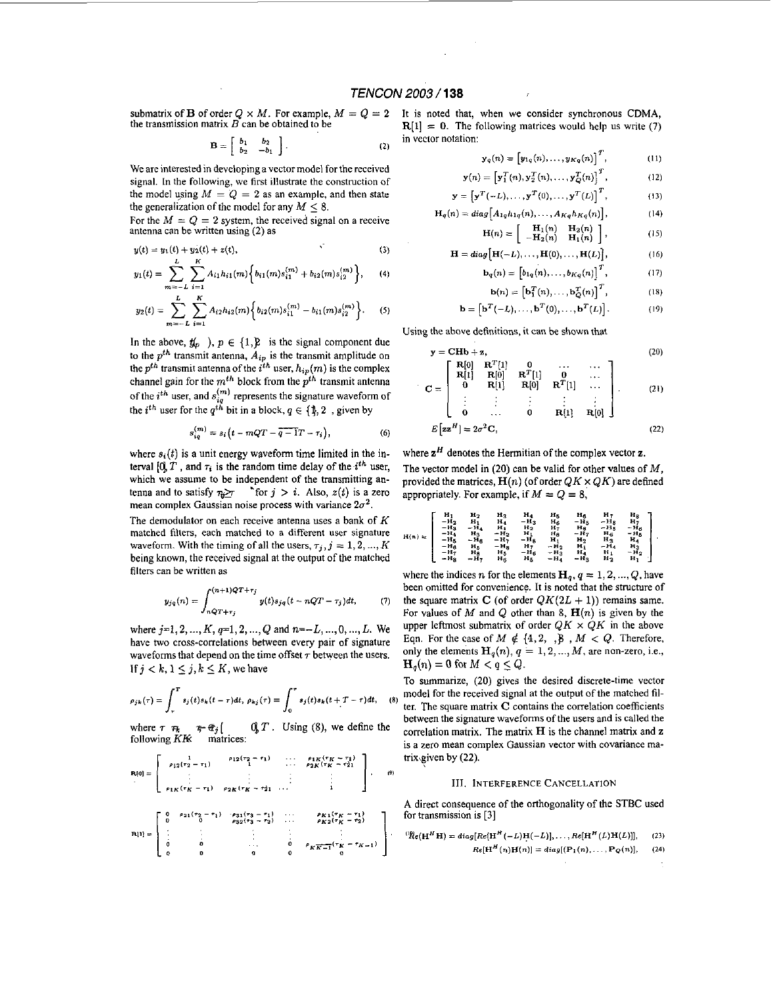submatrix of **B** of order  $Q \times M$ . For example,  $M = Q = 2$ the transmission matrix  $\vec{B}$  can be obtained to be

$$
\mathbf{B} = \left[ \begin{array}{cc} b_1 & b_2 \\ b_2 & -b_1 \end{array} \right]. \tag{2}
$$

We are interested in developing a vector model for the received signal. In the following, we first illustrate the construction of the model using  $M = Q = 2$  as an example, and then state the generalization of the model for any  $M < 8$ .

For the  $M = Q = 2$  system, the received signal on a receive antenna can be written using **(2)** as

$$
y(t) = y_1(t) + y_2(t) + z(t),
$$
 (3)

$$
y_1(t) = \sum_{m=-L} \sum_{i=1} A_{i1} h_{i1}(m) \left\{ b_{i1}(m) s_{i1}^{(m)} + b_{i2}(m) s_{i2}^{(m)} \right\}, \qquad (4)
$$

$$
y_2(t) = \sum_{m=-L}^{L} \sum_{i=1}^{K} A_{i2} h_{i2}(m) \Big\{ b_{i2}(m) s_{i1}^{(m)} - b_{i1}(m) s_{i2}^{(m)} \Big\}.
$$
 (5)

In the above,  $\mathbf{y}_p$ ,  $p \in \{1, \}$  is the signal component due to the  $p^{th}$  transmit antenna,  $A_{ip}$  is the transmit amplitude on the  $p^{th}$  transmit antenna of the  $i^{th}$  user,  $h_{ip}(m)$  is the complex channel gain for the  $m^{th}$  block from the  $p^{th}$  transmit antenna of the  $i^{th}$  user, and  $s_{ia}^{(m)}$  represents the signature waveform of the *i*<sup>th</sup> user for the  $q^{t\hat{h}}$  bit in a block,  $q \in \{\hat{\phi}, 2\}$ , given by

$$
s_{iq}^{(m)} = s_i \left( t - mQT - \overline{q-1}T - \tau_i \right), \tag{6}
$$

where  $s_i(t)$  is a unit energy waveform time limited in the interval  $[0, T]$ , and  $\tau_i$  is the random time delay of the *i*<sup>th</sup> user, which we assume to be independent of the transmitting **an**tenna and to satisfy  $\tau_i \geq r$  \*for  $j > i$ . Also,  $z(t)$  is a zero mean complex Gaussian noise process with variance  $2\sigma^2$ .

The demodulator on each receive antenna uses a bank of *K*  matched filters, each matched to a different user signature waveform. With the timing of all the users,  $\tau_j$ ,  $j = 1, 2, ..., K$ being known, the received signal at the output of the matched filters can be written as

$$
y_{jq}(n) = \int_{nQT + \tau_j}^{(n+1)QT + \tau_j} y(t)s_{jq}(t - nQT - \tau_j)dt, \qquad (7)
$$

where *j=1,2,* ..., *K,* **q=1,2,** ..\_, Q and *n=-L,* \_\_., 0, ..., *L.* We have two cross-correlations between every pair of signature waveforms that depend on the time offset  $\tau$  between the users. If  $j < k, 1 \leq j, k \leq K$ , we have

$$
\rho_{jk}(\tau) = \int_{\tau}^{T} s_j(t)s_k(t-\tau)dt, \ \rho_{kj}(\tau) = \int_{0}^{\tau} s_j(t)s_k(t+T-\tau)dt, \quad
$$

where  $\tau \neq \tau \neq \hat{\tau}_j$   $\begin{bmatrix} 0, T, 0 \end{bmatrix}$  *S* following *KB* matrices: **Using** @), we define the

$$
\mathbf{R}[0] = \left[ \begin{array}{cccc} 1 & \rho_{12}(\tau_2 - \tau_1) & \cdots & \rho_{1K}(\tau_K - \tau_1) \\ \vdots & \vdots & \ddots & \rho_{2K}(\tau_K - \tau_2) \\ \vdots & \vdots & \vdots & \vdots \\ \rho_{1K}(\tau_K - \tau_1) & \rho_{2K}(\tau_K - \tau_2) & \cdots & 1 \end{array} \right], \quad (
$$

$$
\mathbf{R}[1] = \left[\begin{array}{ccccc} 0 & \rho_{21}(\tau_2 - \tau_1) & \rho_{31}(\tau_3 - \tau_1) & \cdots & \rho_{K1}(\tau_K - \tau_1) \\ 0 & \rho_{32}(\tau_3 - \tau_2) & \cdots & \rho_{K2}(\tau_K - \tau_2) \\ \vdots & \vdots & \ddots & \vdots & \vdots \\ 0 & 0 & \cdots & 0 & \rho_{KK-1}(\tau_K - \tau_{K-1}) \\ 0 & 0 & 0 & 0 & \rho_{KK-1}(\tau_K - \tau_{K-1}) \end{array}\right]
$$

It is noted that, when we consider synchronous CDMA,  $R[1] = 0$ . The following matrices would help us write (7) in vector notation:

$$
\mathbf{y}_q(n) = \begin{bmatrix} y_{1q}(n), \dots, y_{Kq}(n) \end{bmatrix}^T, \quad (11)
$$

$$
(n) = \left[\mathbf{y}_1^T(n), \mathbf{y}_2^T(n), \dots, \mathbf{y}_Q^T(n)\right]^T, \tag{12}
$$

$$
r = \left[ \mathbf{y}^T(-L), \dots, \mathbf{y}^T(0), \dots, \mathbf{y}^T(L) \right]^T, \tag{13}
$$

$$
\mathbf{H}_q(n) = diag\Big[A_{1q}h_{1q}(n), \ldots, A_{Kq}h_{Kq}(n)\Big], \qquad (14)
$$

$$
\mathbf{H}(n) = \begin{bmatrix} \mathbf{H}_1(n) & \mathbf{H}_2(n) \\ -\mathbf{H}_2(n) & \mathbf{H}_1(n) \end{bmatrix}, \qquad (15)
$$

$$
\mathbf{H} = diag\big[\mathbf{H}(-L), \dots, \mathbf{H}(0), \dots, \mathbf{H}(L)\big],\tag{16}
$$

$$
\mathbf{b}_q(n) = \left[ b_{1q}(n), \ldots, b_{Kq}(n) \right]^\prime, \tag{17}
$$

$$
\mathbf{b}(n) = \left[\mathbf{b}_1^T(n), \dots, \mathbf{b}_Q^T(n)\right]^T, \tag{18}
$$

$$
\mathbf{b} = \left[ \mathbf{b}^T(-L), \dots, \mathbf{b}^T(0), \dots, \mathbf{b}^T(L) \right].
$$
 (19)

Using the above definitions, it can be shown that

$$
\mathbf{y} = \mathbf{C} \mathbf{H} \mathbf{b} + \mathbf{z}, \tag{20}
$$
\n
$$
\begin{bmatrix} \mathbf{R}[0] & \mathbf{R}^T[1] & 0 & \dots & \dots \\ \mathbf{R}[1] & \mathbf{R}[0] & \mathbf{R}^T[1] & 0 & \dots \\ \end{bmatrix} \tag{21}
$$

$$
\mathbf{C} = \begin{bmatrix} \mathbf{R}[1] & \mathbf{R}[0] & \mathbf{R}^T[1] & \cdots \\ \mathbf{0} & \mathbf{R}[1] & \mathbf{R}[0] & \mathbf{R}^T[1] & \cdots \\ \vdots & \vdots & \vdots & \vdots & \vdots \\ \mathbf{0} & \cdots & \mathbf{0} & \mathbf{R}[1] & \mathbf{R}[0] \end{bmatrix} .
$$
 (21)

$$
E\left[\mathbf{z}\mathbf{z}^H\right] = 2\sigma^2 \mathbf{C},\tag{22}
$$

where  $z^H$  denotes the Hermitian of the complex vector  $z$ .

The vector model in  $(20)$  can be valid for other values of M, provided the matrices,  $H(n)$  (of order  $QK \times QK$ ) are defined appropriately. For example, if  $M = Q = 8$ ,

$$
H(n) \approx \left[ \begin{array}{ccccccccc} H_1 & H_2 & H_3 & H_4 & H_5 & H_6 & H_7 & H_8 \\ -H_2 & H_1 & H_4 & -H_3 & H_6 & -H_5 & -H_8 & H_7 \\ -H_3 & -H_4 & H_1 & H_2 & H_7 & H_8 & -H_5 & -H_6 \\ -H_4 & H_3 & -H_2 & H_1 & H_8 & -H_7 & H_6 & -H_7 \\ -H_5 & -H_6 & -H_7 & -H_8 & H_1 & H_2 & H_3 & H_4 \\ -H_5 & H_6 & -H_7 & -H_8 & H_1 & H_2 & H_3 & H_4 \\ -H_7 & H_8 & H_5 & -H_6 & -H_3 & H_4 & -H_4 & H_2 \\ -H_7 & H_8 & H_5 & -H_5 & -H_4 & -H_3 & H_2 & H_1 \\ -H_8 & -H_7 & H_6 & H_5 & -H_4 & -H_3 & H_2 & H_1 \end{array} \right].
$$

where the indices *n* for the elements  $H_q, q = 1, 2, ..., Q$ , have been omitted for convenience. It is noted that the structure of the square matrix *C* (of order  $QK(2L + 1)$ ) remains same. For values of M and Q other than 8,  $\mathbf{H}(n)$  is given by the upper leftmost submatrix of order  $QK \times QK$  in the above Eqn. For the case of  $M \notin \{4, 2, \ldots\}$ ,  $M < Q$ . Therefore, only the elements  $H_q(n)$ ,  $q = 1, 2, ..., M$ , are non-zero, i.e.,  $H_q(n) = 0$  for  $M < q \leq Q$ .

To summarize, **(20)** gives the desired discrete-time vector model for the received signal at the output of the matched fil- (8) model for the received signal at the output of the materica in-<br>ter. The square matrix **C** contains the correlation coefficients between the signature waveforms of the users and **is** called the correlation matrix. The matrix **H is** the channel matrix and **z is** a zero mean complex Gaussian vector with covariance **ma**  *by (22). trix given by (22).*  $\frac{191}{2}$ 

#### i **111. INTERFERENCE** CANCELLATION

**A** direct consequence of the orthogonality of the STBC used for transmission **is [3]** 

$$
\begin{array}{ccc}\n\vdots & \vdots & \vdots \\
0 & \rho_{K\overline{K-1}}(r_{K}-r_{K-1}) \\
0 & 0 & Re(H^{H}n) = diag[Re[H^{H}(-L)H(-L)], \ldots, Re[H^{H}(L)H(L)]], & (23) \\
0 & Re[H^{H}(n)H(n)] = diag[(P_{1}(n), \ldots, P_{Q}(n)], & (24)\n\end{array}
$$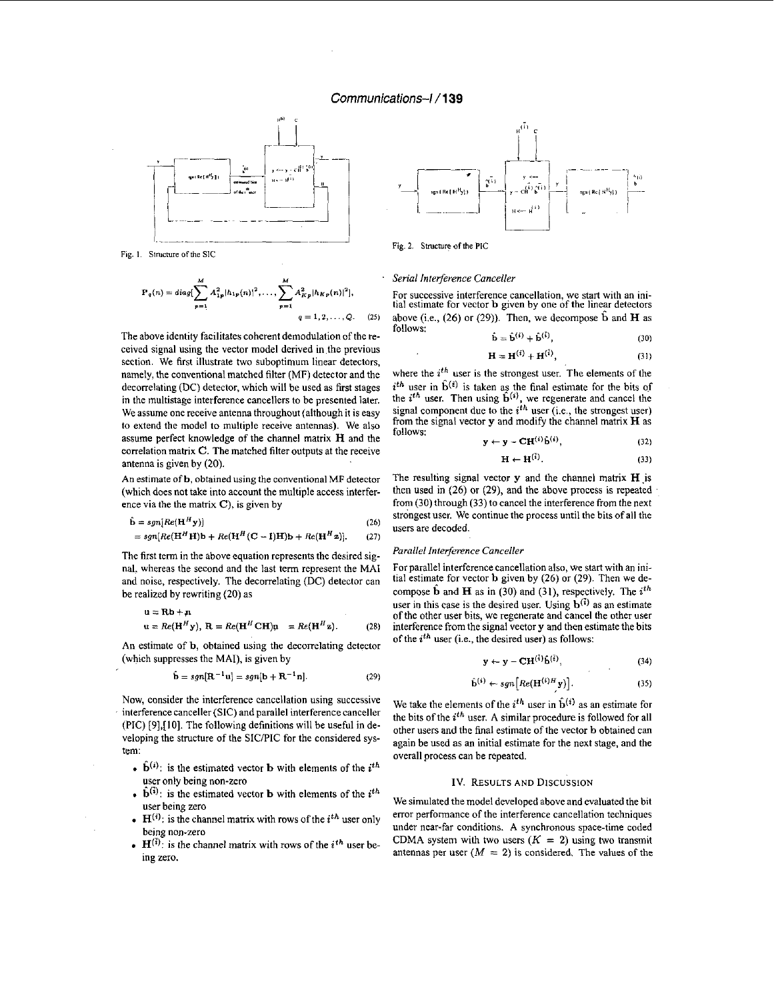### *Communications-/* **/139**



Fig. 1. Structure of the SIC

$$
\mathbf{P}_q(n) = diag[\sum_{p=1}^{M} A_{1p}^2 |h_{1p}(n)|^2, \dots, \sum_{p=1}^{M} A_{Kp}^2 |h_{Kp}(n)|^2],
$$
  
 
$$
q = 1, 2, \dots, Q.
$$
 (25)

The above identity facilitates coherent demodulation of the received signal using the vector model derived in the previous section. We first illustrate two suboptimum linear detectors, namely, the conventional matched filter (MF) detector and the decorrelating (DC) detector, which will he used as first stages in the multistage interference cancellers to he presented later. We assume one receive antenna throughout (although it is easy to extend the model to multiple receive antennas). We also assume perfect knowledge of the channel matrix H and the correlation matrix *C.* The matched filter outputs at the receive antenna is given by (20).

An estimate of **b**, obtained using the conventional MF detector (which does not take into account the multiple access interference via the the matrix  $C$ ), is given by

$$
\hat{\mathbf{b}} = sgn[Re(\mathbf{H}^H \mathbf{y})]
$$
 (26)

$$
= sgn[Re(\mathbf{H}^H \mathbf{H})\mathbf{b} + Re(\mathbf{H}^H (\mathbf{C} - \mathbf{I})\mathbf{H})\mathbf{b} + Re(\mathbf{H}^H \mathbf{z})].
$$
 (27)

The first term in the above equation represents the desired signal, whereas the second and the last term represent the MAI and noise, respectively. The decorrelating (DC) detector can be realized by rewriting (20) as

$$
u = Rb + n
$$
  
 
$$
u = Re(HHy), R = Re(HH CH)n = Re(HHz).
$$
 (28)

An estimate of **b**, obtained using the decorrelating detector (which suppresses the MAI), is given by

$$
\hat{\mathbf{b}} = sgn[\mathbf{R}^{-1}\mathbf{u}] = sgn[\mathbf{b} + \mathbf{R}^{-1}\mathbf{n}].
$$
 (29)

Now, consider the interference cancellation using successive interference canceller (SIC) and parallel interference canceller (PIC) [9], [10]. The following definitions will be useful in developing the structure of the SIC/PIC for the considered sys-

- $\hat{\mathbf{b}}^{(i)}$ : is the estimated vector **b** with elements of the *i*<sup>th</sup> user only being non-zero
- user only being non-zero **IV. RESULTS AND DISCUSSION** .  $\hat{\mathbf{b}}^{(i)}$ : is the estimated vector **b** with elements of the  $i^{th}$ user being zero
- $H^{(i)}$ : is the channel matrix with rows of the *i*<sup>th</sup> user only being non-zero
- being non-zero<br>**H**( $\ddot{i}$ ): is the channel matrix with rows of the  $i^{th}$  user being zero.



Fig. 2. Structure of the PIC

#### *Serial Interference Canceller*

For successive interference cancellation, we start with an initial estimate for vector b given by one of the linear detectors above (i.e., (26) or (29)). Then, we decompose  $\hat{b}$  and  $\hat{H}$  as follows:

$$
\hat{\mathbf{b}} = \hat{\mathbf{b}}^{(i)} + \hat{\mathbf{b}}^{(i)},\tag{30}
$$

$$
\mathbf{H} = \mathbf{H}^{(i)} + \mathbf{H}^{(i)},\tag{31}
$$

where the *i<sup>th</sup>* user is the strongest user. The elements of the  $i<sup>th</sup>$  user in  $\hat{b}^{(i)}$  is taken as the final estimate for the bits of the  $i^{th}$  user. Then using  $\hat{\mathbf{b}}^{(i)}$ , we regenerate and cancel the signal component due to the  $i<sup>th</sup>$  user (i.e., the strongest user) from the signal vector  $y$  and modify the channel matrix  $H$  as follows:

$$
\mathbf{y} \leftarrow \mathbf{y} - \mathbf{C} \mathbf{H}^{(i)} \hat{\mathbf{b}}^{(i)}, \tag{32}
$$

$$
\mathbf{H} \leftarrow \mathbf{H}^{(1)}.
$$
 (33)

The resulting signal vector  $y$  and the channel matrix  $H$  is then used in (26) or **(29),** and the above process is repeated from (30) through (33) to cancel the interference from the next strongest user. We continue the process until the bits of all the users are decoded.

#### *Parallel Interference Canceller*

For parallel interference cancellation also, we **start** with an initial estimate for vector **b** given by (26) or (29). Then we decompose  $\hat{\mathbf{b}}$  and  $\mathbf{H}$  as in (30) and (31), respectively. The *i*<sup>th</sup> user in this case is the desired user. Using  $\mathbf{b}^{(\bar{i})}$  as an estimate of the other user hits, we regenerate and cancel the other user interference from the signal vector y and then estimate the bits of the *ith* user (i.e., the desired user) as follows:

$$
\mathbf{y} \leftarrow \mathbf{y} - \mathbf{C} \mathbf{H}^{(\bar{i})} \hat{\mathbf{b}}^{(\bar{i})}, \tag{34}
$$

$$
\hat{\mathbf{b}}^{(i)} \leftarrow sgn\left[Re(\mathbf{H}^{(i)H}\mathbf{y})\right]. \tag{35}
$$

We take the elements of the  $i^{th}$  user in  $\hat{\mathbf{b}}^{(i)}$  as an estimate for the bits of the  $i^{th}$  user. A similar procedure is followed for all other users and the final estimate of the vector **b** obtained can veloping the structure of the SIC/PIC for the considered sys-<br>tem:<br>overall process can be repeated.

We simulated the model developed above and evaluated the hit error performance of the interference cancellation techniques under near-far conditions. A synchronous space-time coded CDMA system with two users  $(K = 2)$  using two transmit antennas per user  $(M = 2)$  is considered. The values of the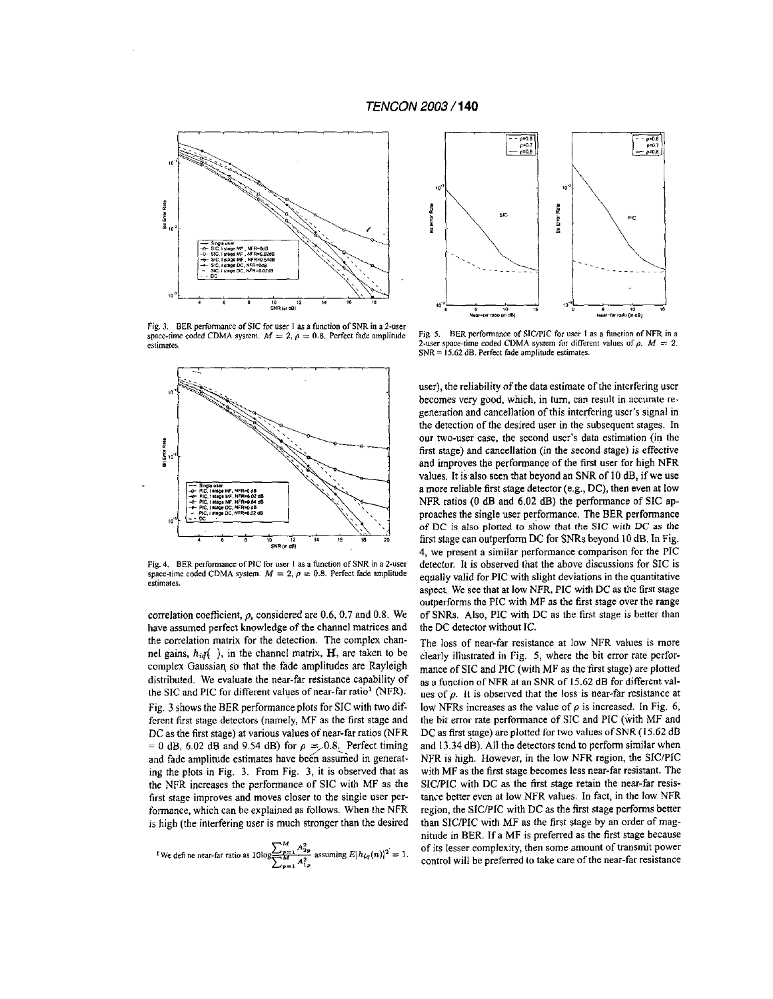### *TENCON* **2003** / **<sup>140</sup>**



Fig. **3.** BER **perfommce of** SIC **for user** I **as a function of** SNR **in a 2-user**  space-time coded CDMA system.  $M = 2$ ,  $\rho = 0.8$ . Perfect fade amplitude **estimates.** 



**Fig. 4.** BER **performance** of PIC **for** user I *BS* **a function aFSNR in a 2-user**  space-time coded CDMA system.  $M = 2$ ,  $\rho = 0.8$ . Perfect fade amplitude **estimates.** 

correlation coefficient, *p,* considered are 0.6, 0.7 and **0.8.** We have assumed perfect knowledge of the channel matrices and the correlation matrix for the detection. The complex channel gains,  $h_i q$  ), in the channel matrix, **H**, are taken to be complex Gaussiaq so that the fade amplitudes are Rayleigh distributed. We evaluate the near-far resistance capability of the SIC and PIC for different values of near-far ratio' (NFR). Fig. 3 shows the BER performance plots for SIC with two different fist stage detectors (namely, MF as the first stage and DC as the first stage) at various values of near-far ratios (NFR  $= 0$  dB, 6.02 dB and 9.54 dB) for  $\rho = 0.8$ . Perfect timing and fade amplitude estimates have been assumed in generating the plots in Fig. 3. From Fig. 3, it **is** observed that as the NFR increases the performance of SIC with MF as the first stage improves and moves closer to the single user performance, which can be explained as follows. When the NFR **is** high (the interfering user is much stronger than the desired

$$
{}^{1}\text{We define near-far ratio as }10\log\frac{\sum_{p=1}^{M}A_{2p}^{2}}{\sum_{p=1}^{M}A_{1p}^{2}}\text{ assuming }E|h_{iq}(n)|^{2}=1.
$$



Fig. **5.** BER **performance of** SICPIC **for user** I *as* **a funclion of** NFR **in a**  2-user space-time coded CDMA system for different values of  $\rho$ .  $M = 2$ . SNR = **15.62 dB. Perfect fade amplitude estimates.** 

user), the reliability of the data estimate of the interfering user becomes very good, which, in tum, can result in accurate regeneration and cancellation of this interfering user's signal in the detection of the desired user **in** the subsequent stages. **In**  our two-user case, the second user's data estimation (in the first stage) and cancellation (in the second stage) **is** effective and improves the performance of the first user for high NFR values. It is'also seen that beyond an SNR of **IO** dB, if **we** use a more reliable first stage detector (e.g., DC), then even at low NFR ratios (0 dB and 6.02 dB) the performance of SIC approaches the single user performance. The BER performance of DC **is** also **plotted to** show that the **SIC** with **DC as** the first stage can outperform DC for SNRs beyond **IO** dB. In Fig. **4,** we present a similar performance comparison for the PIC detector. **It is** observed that the above discussions for SIC is equally valid for PIC with slight deviations in the quantitative aspect. We see that at low NFR, PIC with DC as the first stage outperforms the PIC with MF **as** the first stage over the range of SNRs. Also, PIC with DC as the first stage **is** better than the **DC** detector without IC.

The **loss** of near-far resistance at low NFR values **is** more clearly illustrated **in** Fig. *5,* where the bit error rate performance of SIC and PIC (with MF as the first stage) are plotted as a function of NFR at an SNR of **15.62** dB for different values of *p.* It **is** observed that the **loss** is near-far resistance at low NFRs increases as the value of *p* is increased. **In** Fig. *6,*  the hit error rate performance of SIC and PIC (with MF and DC as first stage) are plotted for two values of SNR **(I** *5.62* dB and 13.34 dB). All the detectors tend to perform similar when NFR **is** high. However, in the low NFR region, the SlC/PIC with MF as the first stage becomes less near-far resistant. The SlC/PIC with DC as the first stage retain the near-far resistance better even at low NFR values. In fact, in the low NFR region, the SICPIC with DC as the first stage performs better than SICPIC with MF as the first stage by an order of magnitude in BER. **If** a MF **is** preferred as the first stage because of its lesser complexity, then some amount of transmit power control will be preferred to take care of the near-far resistance